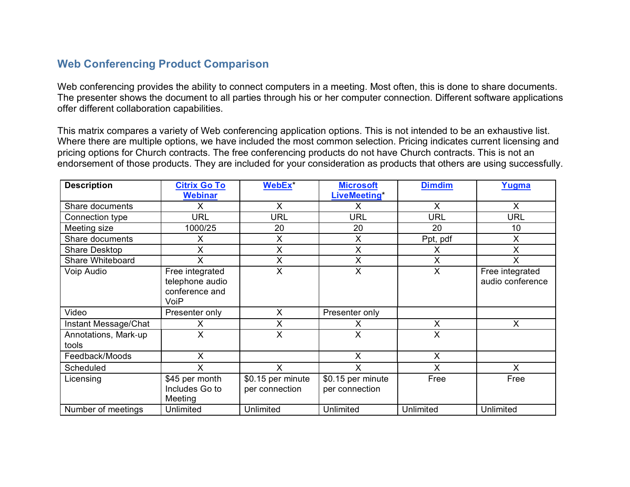## **Web Conferencing Product Comparison**

Web conferencing provides the ability to connect computers in a meeting. Most often, this is done to share documents. The presenter shows the document to all parties through his or her computer connection. Different software applications offer different collaboration capabilities.

This matrix compares a variety of Web conferencing application options. This is not intended to be an exhaustive list. Where there are multiple options, we have included the most common selection. Pricing indicates current licensing and pricing options for Church contracts. The free conferencing products do not have Church contracts. This is not an endorsement of those products. They are included for your consideration as products that others are using successfully.

| <b>Description</b>            | <b>Citrix Go To</b>                                          | WebEx <sup>*</sup>                  | <b>Microsoft</b>                    | <b>Dimdim</b> | Yugma                               |
|-------------------------------|--------------------------------------------------------------|-------------------------------------|-------------------------------------|---------------|-------------------------------------|
|                               | <b>Webinar</b>                                               |                                     | <b>LiveMeeting</b> *                |               |                                     |
| Share documents               | X                                                            | $\mathsf{X}$                        | X                                   | X             | X                                   |
| Connection type               | <b>URL</b>                                                   | <b>URL</b>                          | <b>URL</b>                          | <b>URL</b>    | <b>URL</b>                          |
| Meeting size                  | 1000/25                                                      | 20                                  | 20                                  | 20            | 10                                  |
| Share documents               | Х                                                            | X                                   | X                                   | Ppt, pdf      | X                                   |
| Share Desktop                 | X                                                            | X                                   | X                                   |               | X                                   |
| Share Whiteboard              | Χ                                                            | Χ                                   | Χ                                   | X             | Χ                                   |
| Voip Audio                    | Free integrated<br>telephone audio<br>conference and<br>VoiP | X                                   | X                                   | $\times$      | Free integrated<br>audio conference |
| Video                         | Presenter only                                               | X                                   | Presenter only                      |               |                                     |
| Instant Message/Chat          | x                                                            | X                                   | x                                   | X             | X                                   |
| Annotations, Mark-up<br>tools | X                                                            | X                                   | X                                   | X             |                                     |
| Feedback/Moods                | X                                                            |                                     | X                                   | X             |                                     |
| Scheduled                     | Χ                                                            | X                                   | X                                   | X             | X                                   |
| Licensing                     | \$45 per month<br>Includes Go to<br>Meeting                  | \$0.15 per minute<br>per connection | \$0.15 per minute<br>per connection | Free          | Free                                |
| Number of meetings            | Unlimited                                                    | Unlimited                           | Unlimited                           | Unlimited     | Unlimited                           |